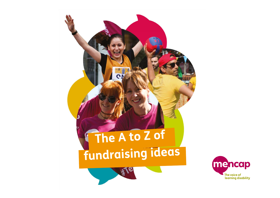

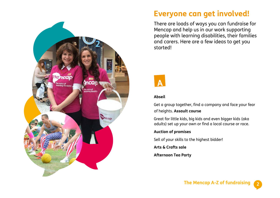

# **Everyone can get involved!**

There are loads of ways you can fundraise for Mencap and help us in our work supporting people with learning disabilities, their families and carers. Here are a few ideas to get you started!



#### **Abseil**

Get a group together, find a company and face your fear of heights. **Assault course** 

Great for little kids, big kids and even bigger kids (aka adults) set up your own or find a local course or race.

#### **Auction of promises**

Sell of your skills to the highest bidder!

**Arts & Crafts sale** 

**Afternoon Tea Party**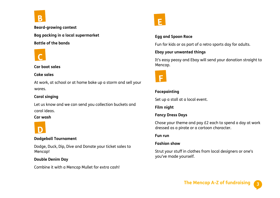

**Beard-growing contest Bag packing in a local supermarket Battle of the bands**



#### **Car boot sales**

#### **Cake sales**

At work, at school or at home bake up a storm and sell your wares.

# **Carol singing**

Let us know and we can send you collection buckets and carol ideas.

#### **Car wash**



#### **Dodgeball Tournament**

Dodge, Duck, Dip, Dive and Donate your ticket sales to Mencap!

### **Double Denim Day**

Combine it with a Mencap Mullet for extra cash!



# **Egg and Spoon Race**

Fun for kids or as part of a retro sports day for adults.

# **Ebay your unwanted things**

It's easy peasy and Ebay will send your donation straight to Mencap.



# **Facepainting**

Set up a stall at a local event.

**Film night** 

# **Fancy Dress Days**

Chose your theme and pay £2 each to spend a day at work dressed as a pirate or a cartoon character.

### **Fun run**

# **Fashion show**

Strut your stuff in clothes from local designers or one's you've made yourself.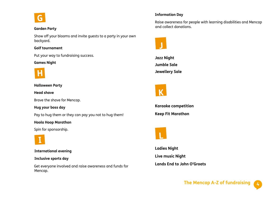

#### **Garden Party**

Show off your blooms and invite guests to a party in your own backyard.

#### **Golf tournament**

Put your way to fundraising success.

#### **Games Night**



**Halloween Party** 

**Head shave**

Brave the shave for Mencap.

**Hug your boss day**

Pay to hug them or they can pay you not to hug them!

#### **Hoola Hoop Marathon**

Spin for sponsorship.



**International evening** 

#### **Inclusive sports day**

Get everyone involved and raise awareness and funds for Mencap.

#### **Information Day**

Raise awareness for people with learning disabilities and Mencap and collect donations.



**Jazz Night Jumble Sale Jewellery Sale**



**Karaoke competition** 

**Keep Fit Marathon**



**Ladies Night Live music Night Lands End to John O'Groats**

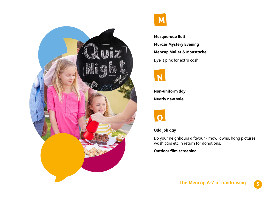



**Masquerade Ball Murder Mystery Evening Mencap Mullet & Moustache**  Dye it pink for extra cash!



**Non-uniform day Nearly new sale**



# **Odd job day**

Do your neighbours a favour - mow lawns, hang pictures, wash cars etc in return for donations.

#### **Outdoor film screening**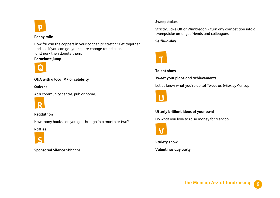

#### **Penny mile**

How far can the coppers in your copper jar stretch? Get together and see if you can get your spare change round a local landmark then donate them.

#### **Parachute jump**



#### **Q&A with a local MP or celebrity**

**Quizzes**

At a community centre, pub or home.



#### **Readathon**

How many books can you get through in a month or two?

#### **Raffles**



**Sponsored Silence** Shhhhh!

#### **Sweepstakes**

Strictly, Bake Off or Wimbledon – turn any competition into a sweepstake amongst friends and colleagues.

**Selfie-a-day**



#### **Talent show**

#### **Tweet your plans and achievements**

Let us know what you're up to! Tweet us @BexleyMencap



### **Utterly brilliant ideas of your own!**

Do what you love to raise money for Mencap.



**Variety show Valentines day party**

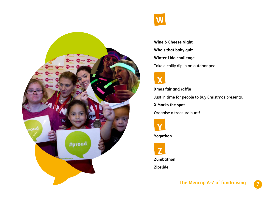

**Wine & Cheese Night Who's that baby quiz Winter Lido challenge** Take a chilly dip in an outdoor pool.



**Xmas fair and raffle**

Just in time for people to buy Christmas presents.

**X Marks the spot** 

Organise a treasure hunt!



**Yogathon**



**Zumbathon**

**Zipslide**